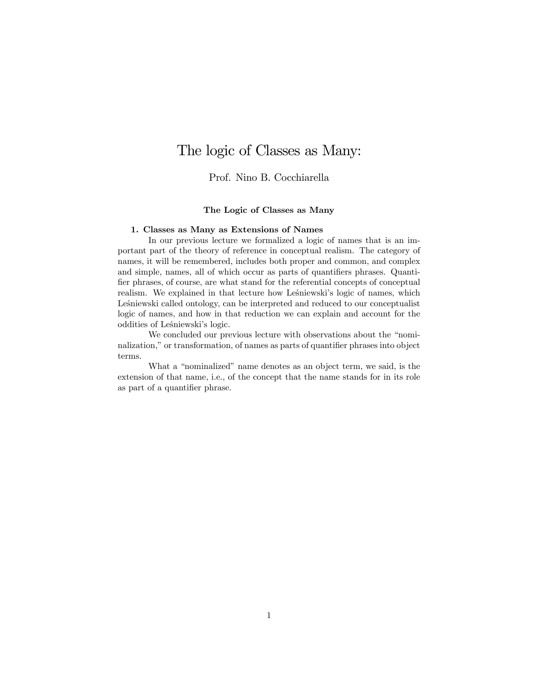# The logic of Classes as Many:

Prof. Nino B. Cocchiarella

# The Logic of Classes as Many

#### 1. Classes as Many as Extensions of Names

In our previous lecture we formalized a logic of names that is an important part of the theory of reference in conceptual realism. The category of names, it will be remembered, includes both proper and common, and complex and simple, names, all of which occur as parts of quantifiers phrases. Quantifier phrases, of course, are what stand for the referential concepts of conceptual realism. We explained in that lecture how Lesniewski's logic of names, which Leśniewski called ontology, can be interpreted and reduced to our conceptualist logic of names, and how in that reduction we can explain and account for the oddities of Leśniewski's logic.

We concluded our previous lecture with observations about the "nominalization," or transformation, of names as parts of quantifier phrases into object terms.

What a "nominalized" name denotes as an object term, we said, is the extension of that name, i.e., of the concept that the name stands for in its role as part of a quantifier phrase.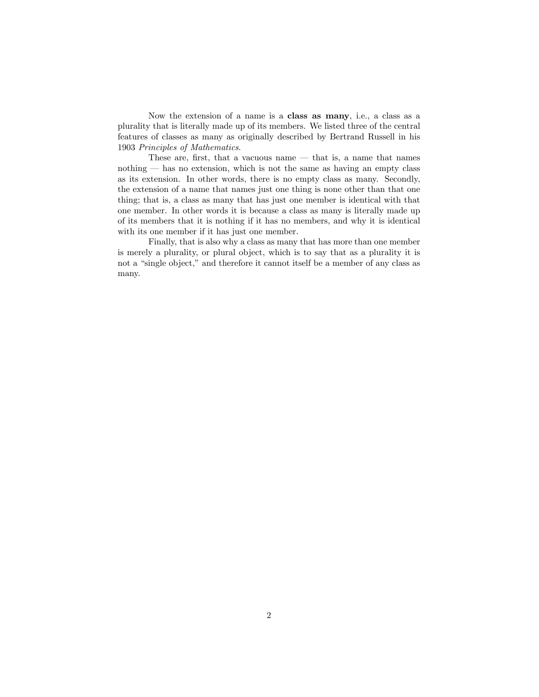Now the extension of a name is a class as many, i.e., a class as a plurality that is literally made up of its members. We listed three of the central features of classes as many as originally described by Bertrand Russell in his 1903 Principles of Mathematics.

These are, first, that a vacuous name  $-$  that is, a name that names nothing  $\sim$  has no extension, which is not the same as having an empty class as its extension. In other words, there is no empty class as many. Secondly, the extension of a name that names just one thing is none other than that one thing; that is, a class as many that has just one member is identical with that one member. In other words it is because a class as many is literally made up of its members that it is nothing if it has no members, and why it is identical with its one member if it has just one member.

Finally, that is also why a class as many that has more than one member is merely a plurality, or plural object, which is to say that as a plurality it is not a "single object," and therefore it cannot itself be a member of any class as many.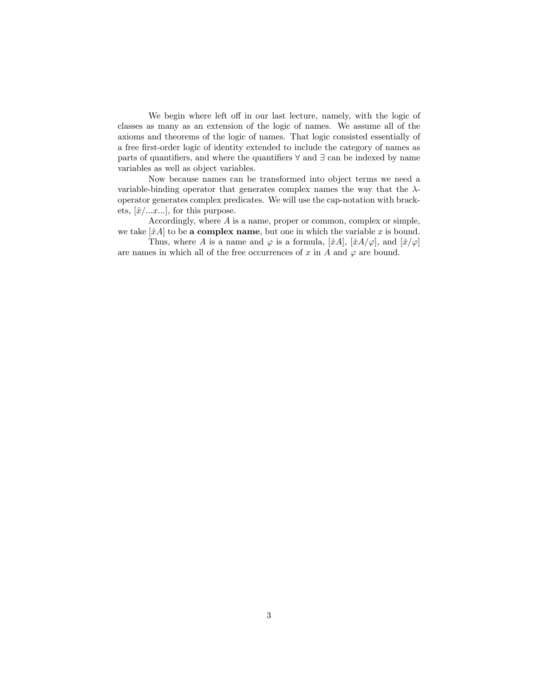We begin where left off in our last lecture, namely, with the logic of classes as many as an extension of the logic of names. We assume all of the axioms and theorems of the logic of names. That logic consisted essentially of a free Örst-order logic of identity extended to include the category of names as parts of quantifiers, and where the quantifiers  $\forall$  and  $\exists$  can be indexed by name variables as well as object variables.

Now because names can be transformed into object terms we need a variable-binding operator that generates complex names the way that the  $\lambda$ operator generates complex predicates. We will use the cap-notation with brackets,  $[\hat{x}/...x...]$ , for this purpose.

Accordingly, where  $A$  is a name, proper or common, complex or simple, we take  $[\hat{x}A]$  to be a complex name, but one in which the variable x is bound.

Thus, where A is a name and  $\varphi$  is a formula,  $[\hat{x}A], [\hat{x}A/\varphi]$ , and  $[\hat{x}/\varphi]$ are names in which all of the free occurrences of x in A and  $\varphi$  are bound.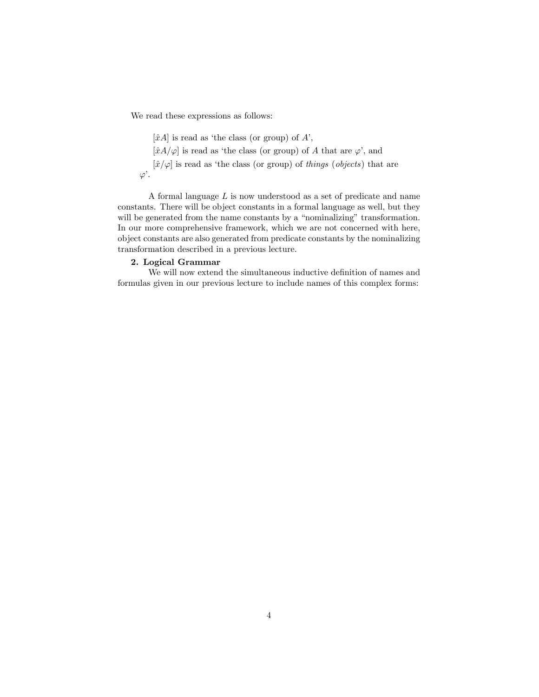We read these expressions as follows:

 $[\hat{x}A]$  is read as 'the class (or group) of A',  $[\hat{x}A/\varphi]$  is read as 'the class (or group) of A that are  $\varphi'$ , and  $[\hat{x}/\varphi]$  is read as 'the class (or group) of things (objects) that are  $\varphi'$ .

A formal language L is now understood as a set of predicate and name constants. There will be object constants in a formal language as well, but they will be generated from the name constants by a "nominalizing" transformation. In our more comprehensive framework, which we are not concerned with here, object constants are also generated from predicate constants by the nominalizing transformation described in a previous lecture.

## 2. Logical Grammar

We will now extend the simultaneous inductive definition of names and formulas given in our previous lecture to include names of this complex forms: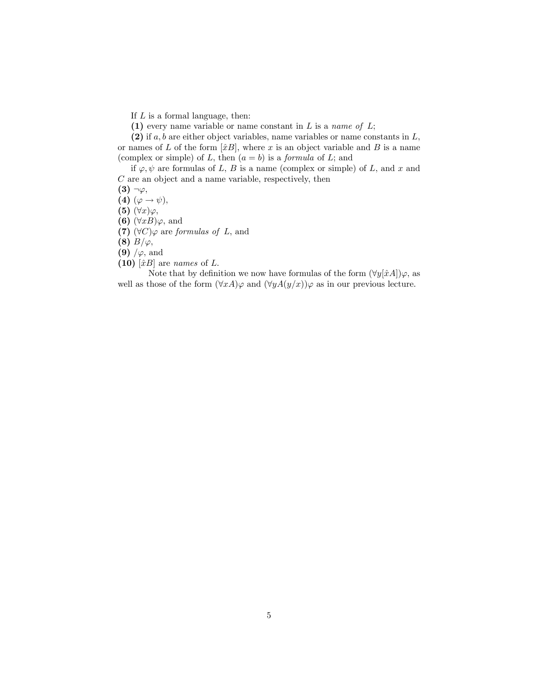If  $L$  is a formal language, then:

(1) every name variable or name constant in  $L$  is a name of  $L$ ;

(2) if  $a, b$  are either object variables, name variables or name constants in  $L$ , or names of L of the form  $[\hat{x}B]$ , where x is an object variable and B is a name (complex or simple) of L, then  $(a = b)$  is a *formula* of L; and

if  $\varphi, \psi$  are formulas of L, B is a name (complex or simple) of L, and x and  $C$  are an object and a name variable, respectively, then

 $(3)$   $\neg \varphi$ ,

(4)  $(\varphi \rightarrow \psi),$ 

(5)  $(\forall x)\varphi,$ 

(6)  $(\forall xB)\varphi$ , and

(7)  $(\forall C)\varphi$  are formulas of L, and

(8)  $B/\varphi$ ,

(9)  $/\varphi$ , and

(10)  $[\hat{x}B]$  are names of L.

Note that by definition we now have formulas of the form  $(\forall y[\hat{x}A])\varphi$ , as well as those of the form  $(\forall x A)\varphi$  and  $(\forall y A(y/x))\varphi$  as in our previous lecture.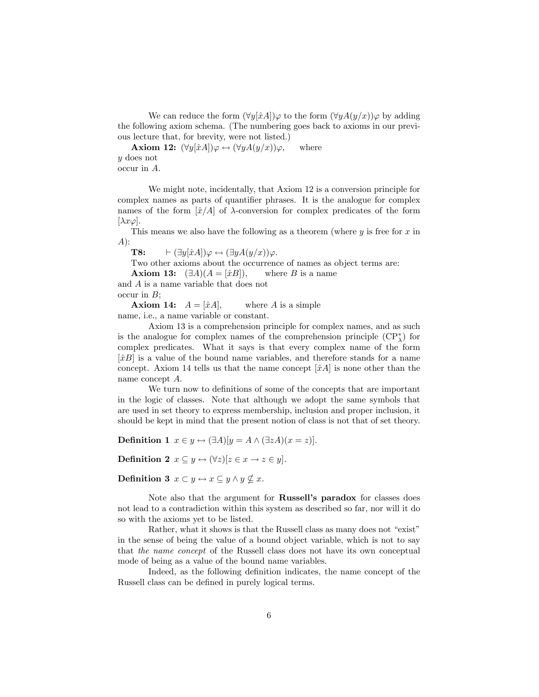We can reduce the form  $(\forall y[\hat{x}A])\varphi$  to the form  $(\forall yA(y/x))\varphi$  by adding the following axiom schema. (The numbering goes back to axioms in our previous lecture that, for brevity, were not listed.)

**Axiom 12:**  $(\forall y[\hat{x}A])\varphi \leftrightarrow (\forall yA(y/x))\varphi$ , where y does not occur in A.

We might note, incidentally, that Axiom 12 is a conversion principle for complex names as parts of quantifier phrases. It is the analogue for complex names of the form  $[\hat{x}/A]$  of  $\lambda$ -conversion for complex predicates of the form  $[\lambda x \varphi]$ .

This means we also have the following as a theorem (where  $y$  is free for  $x$  in A):

**T8:**  $\qquad \vdash (\exists y[\hat{x}A])\varphi \leftrightarrow (\exists yA(y/x))\varphi.$ 

Two other axioms about the occurrence of names as object terms are:

**Axiom 13:**  $(\exists A)(A = [\hat{x}B])$ , where B is a name

and A is a name variable that does not occur in  $B$ ;

**Axiom 14:**  $A = [\hat{x}A]$ , where A is a simple name, i.e., a name variable or constant.

Axiom 13 is a comprehension principle for complex names, and as such is the analogue for complex names of the comprehension principle  $(\mathrm{CP}_{\lambda}^*)$  for complex predicates. What it says is that every complex name of the form  $[\hat{x}B]$  is a value of the bound name variables, and therefore stands for a name concept. Axiom 14 tells us that the name concept  $[\hat{x}A]$  is none other than the name concept A.

We turn now to definitions of some of the concepts that are important in the logic of classes. Note that although we adopt the same symbols that are used in set theory to express membership, inclusion and proper inclusion, it should be kept in mind that the present notion of class is not that of set theory.

**Definition 1**  $x \in y \leftrightarrow (\exists A)[y = A \wedge (\exists zA)(x = z)].$ 

**Definition 2**  $x \subseteq y \leftrightarrow (\forall z)[z \in x \rightarrow z \in y].$ 

**Definition 3**  $x \subset y \leftrightarrow x \subseteq y \land y \nsubseteq x$ .

Note also that the argument for Russell's paradox for classes does not lead to a contradiction within this system as described so far, nor will it do so with the axioms yet to be listed.

Rather, what it shows is that the Russell class as many does not "exist" in the sense of being the value of a bound object variable, which is not to say that the name concept of the Russell class does not have its own conceptual mode of being as a value of the bound name variables.

Indeed, as the following definition indicates, the name concept of the Russell class can be defined in purely logical terms.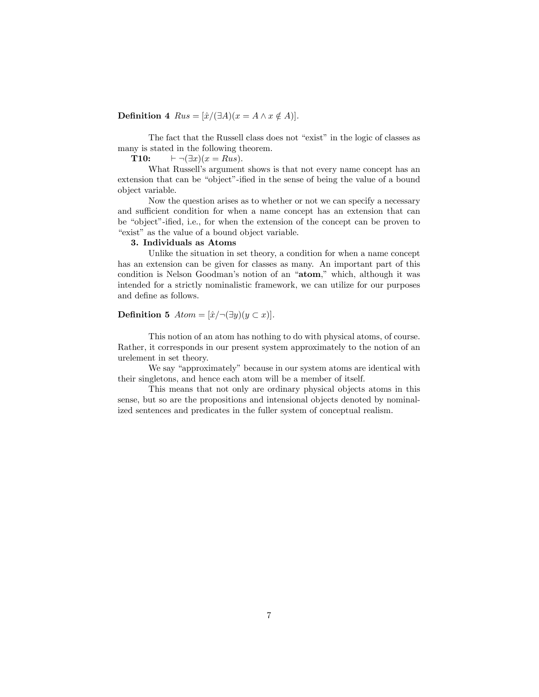**Definition 4**  $Rus = [\hat{x}/(\exists A)(x = A \land x \notin A)].$ 

The fact that the Russell class does not "exist" in the logic of classes as many is stated in the following theorem.

T10:  $\vdash \neg (\exists x)(x = Rus).$ 

What Russell's argument shows is that not every name concept has an extension that can be "object"-ified in the sense of being the value of a bound object variable.

Now the question arises as to whether or not we can specify a necessary and sufficient condition for when a name concept has an extension that can be "object"-ified, i.e., for when the extension of the concept can be proven to "exist" as the value of a bound object variable.

### 3. Individuals as Atoms

Unlike the situation in set theory, a condition for when a name concept has an extension can be given for classes as many. An important part of this condition is Nelson Goodman's notion of an "atom," which, although it was intended for a strictly nominalistic framework, we can utilize for our purposes and define as follows.

**Definition 5** Atom =  $[\hat{x}/\neg(\exists y)(y \subset x)].$ 

This notion of an atom has nothing to do with physical atoms, of course. Rather, it corresponds in our present system approximately to the notion of an urelement in set theory.

We say "approximately" because in our system atoms are identical with their singletons, and hence each atom will be a member of itself.

This means that not only are ordinary physical objects atoms in this sense, but so are the propositions and intensional objects denoted by nominalized sentences and predicates in the fuller system of conceptual realism.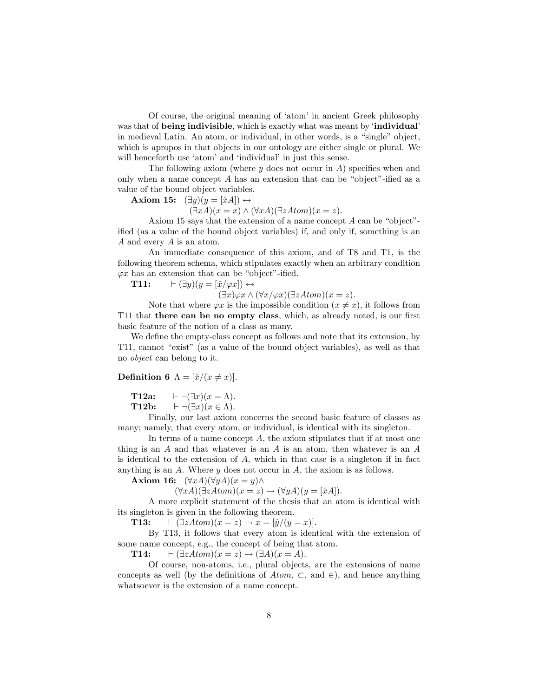Of course, the original meaning of 'atom' in ancient Greek philosophy was that of being indivisible, which is exactly what was meant by 'individual' in medieval Latin. An atom, or individual, in other words, is a "single" object, which is apropos in that objects in our ontology are either single or plural. We will henceforth use 'atom' and 'individual' in just this sense.

The following axiom (where  $y$  does not occur in  $A$ ) specifies when and only when a name concept  $A$  has an extension that can be "object"-ified as a value of the bound object variables.

**Axiom 15:**  $(\exists y)(y = [\hat{x}A]) \leftrightarrow$ 

 $(\exists x A)(x = x) \wedge (\forall x A)(\exists z A tom)(x = z).$ 

Axiom 15 says that the extension of a name concept  $A$  can be "object"ified (as a value of the bound object variables) if, and only if, something is an  $A$  and every  $A$  is an atom.

An immediate consequence of this axiom, and of T8 and T1, is the following theorem schema, which stipulates exactly when an arbitrary condition  $\varphi x$  has an extension that can be "object"-ified.

T11:  $\vdash (\exists y)(y = [\hat{x}/\varphi x]) \leftrightarrow$ 

 $(\exists x)\varphi x \wedge (\forall x/\varphi x)(\exists zAtom)(x=z).$ 

Note that where  $\varphi x$  is the impossible condition  $(x \neq x)$ , it follows from T11 that there can be no empty class, which, as already noted, is our first basic feature of the notion of a class as many.

We define the empty-class concept as follows and note that its extension, by T11, cannot "exist" (as a value of the bound object variables), as well as that no *object* can belong to it.

**Definition 6**  $\Lambda = [\hat{x}/(x \neq x)].$ 

 $\vdash \neg (\exists x)(x = \Lambda).$ T12a: T12b:  $\vdash \neg (\exists x)(x \in \Lambda).$ 

Finally, our last axiom concerns the second basic feature of classes as many; namely, that every atom, or individual, is identical with its singleton.

In terms of a name concept  $A$ , the axiom stipulates that if at most one thing is an  $A$  and that whatever is an  $A$  is an atom, then whatever is an  $A$ is identical to the extension of  $A$ , which in that case is a singleton if in fact anything is an  $A$ . Where  $y$  does not occur in  $A$ , the axiom is as follows.

**Axiom 16:**  $(\forall x A)(\forall y A)(x = y) \land$ 

 $(\forall x A)(\exists z A tom)(x = z) \rightarrow (\forall y A)(y = [\hat{x}A]).$ 

A more explicit statement of the thesis that an atom is identical with its singleton is given in the following theorem.

T13:  $\vdash (\exists zAtom)(x = z) \rightarrow x = [\hat{y}/(y = x)].$ 

By T13, it follows that every atom is identical with the extension of some name concept, e.g., the concept of being that atom.

T14:  $\vdash (\exists zAtom)(x = z) \rightarrow (\exists A)(x = A).$ 

Of course, non-atoms, i.e., plural objects, are the extensions of name concepts as well (by the definitions of Atom,  $\subset$ , and  $\in$ ), and hence anything whatsoever is the extension of a name concept.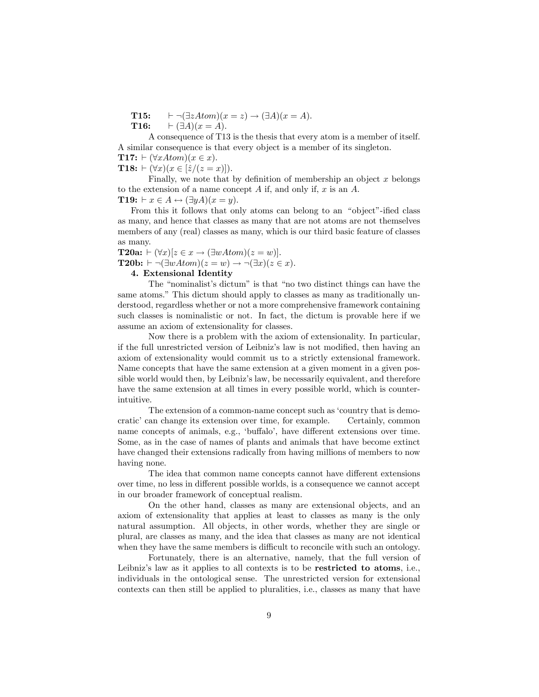$\vdash \neg (\exists zAtom)(x = z) \rightarrow (\exists A)(x = A).$ T15: T16:  $\vdash (\exists A)(x = A).$ 

A consequence of T13 is the thesis that every atom is a member of itself. A similar consequence is that every object is a member of its singleton.

**T17:**  $\vdash (\forall x \text{Atom})(x \in x)$ .

**T18:**  $\vdash (\forall x)(x \in [\hat{z}/(z=x)]).$ 

Finally, we note that by definition of membership an object  $x$  belongs to the extension of a name concept  $A$  if, and only if,  $x$  is an  $A$ .

**T19:**  $\vdash x \in A \leftrightarrow (\exists y A)(x = y).$ 

From this it follows that only atoms can belong to an "object"-ified class as many, and hence that classes as many that are not atoms are not themselves members of any (real) classes as many, which is our third basic feature of classes as many.

**T20a:**  $\vdash (\forall x)[z \in x \rightarrow (\exists wAtom)(z=w)].$ **T20b:**  $\vdash \neg (\exists wAtom)(z=w) \rightarrow \neg (\exists x)(z \in x).$ 

# 4. Extensional Identity

The "nominalist's dictum" is that "no two distinct things can have the same atoms." This dictum should apply to classes as many as traditionally understood, regardless whether or not a more comprehensive framework containing such classes is nominalistic or not. In fact, the dictum is provable here if we assume an axiom of extensionality for classes.

Now there is a problem with the axiom of extensionality. In particular, if the full unrestricted version of Leibniz's law is not modified, then having an axiom of extensionality would commit us to a strictly extensional framework. Name concepts that have the same extension at a given moment in a given possible world would then, by Leibniz's law, be necessarily equivalent, and therefore have the same extension at all times in every possible world, which is counterintuitive.

The extension of a common-name concept such as 'country that is democratic' can change its extension over time, for example. Certainly, common name concepts of animals, e.g., 'buffalo', have different extensions over time. Some, as in the case of names of plants and animals that have become extinct have changed their extensions radically from having millions of members to now having none.

The idea that common name concepts cannot have different extensions over time, no less in different possible worlds, is a consequence we cannot accept in our broader framework of conceptual realism.

On the other hand, classes as many are extensional objects, and an axiom of extensionality that applies at least to classes as many is the only natural assumption. All objects, in other words, whether they are single or plural, are classes as many, and the idea that classes as many are not identical when they have the same members is difficult to reconcile with such an ontology.

Fortunately, there is an alternative, namely, that the full version of Leibniz's law as it applies to all contexts is to be restricted to atoms, i.e., individuals in the ontological sense. The unrestricted version for extensional contexts can then still be applied to pluralities, i.e., classes as many that have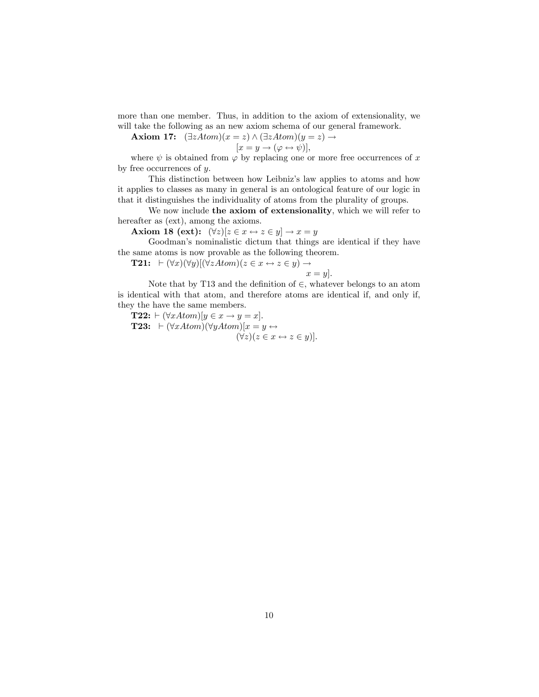more than one member. Thus, in addition to the axiom of extensionality, we will take the following as an new axiom schema of our general framework.

**Axiom 17:**  $(\exists zAtom)(x = z) \land (\exists zAtom)(y = z) \rightarrow$ 

$$
[x = y \to (\varphi \leftrightarrow \psi)],
$$

where  $\psi$  is obtained from  $\varphi$  by replacing one or more free occurrences of x by free occurrences of  $y$ .

This distinction between how Leibniz's law applies to atoms and how it applies to classes as many in general is an ontological feature of our logic in that it distinguishes the individuality of atoms from the plurality of groups.

We now include the axiom of extensionality, which we will refer to hereafter as  $(\text{ext})$ , among the axioms.

Axiom 18 (ext):  $(\forall z)[z \in x \leftrightarrow z \in y] \rightarrow x = y$ 

Goodman's nominalistic dictum that things are identical if they have the same atoms is now provable as the following theorem.

**T21:**  $\vdash (\forall x)(\forall y)[(\forall zAtom)(z \in x \leftrightarrow z \in y) \rightarrow$ 

$$
x = y
$$
].  
Note that by T13 and the definition of  $\in$ , whatever belongs to an atom  
is identical with that atom, and therefore atoms are identical if, and only if,  
they the have the same members.

**T22:**  $\vdash (\forall xAtom)[y \in x \rightarrow y = x].$ **T23:**  $\vdash (\forall xAtom)(\forall yAtom)[x = y \leftrightarrow$  $(\forall z)(z \in x \leftrightarrow z \in y)$ ].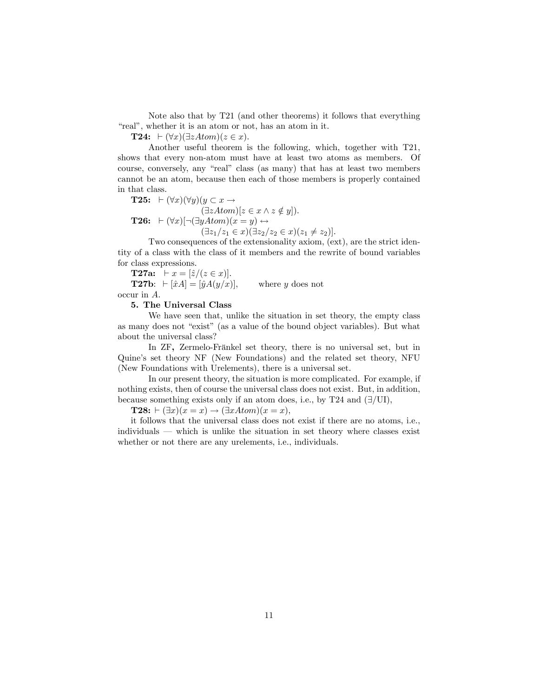Note also that by T21 (and other theorems) it follows that everything "real", whether it is an atom or not, has an atom in it.

**T24:**  $\vdash (\forall x)(\exists zAtom)(z \in x).$ 

Another useful theorem is the following, which, together with T21, shows that every non-atom must have at least two atoms as members. Of course, conversely, any "real" class (as many) that has at least two members cannot be an atom, because then each of those members is properly contained in that class.

**T25:**  $\vdash (\forall x)(\forall y)(y \subset x \rightarrow$  $(\exists zAtom)[z \in x \land z \notin y]).$ **T26:**  $\vdash (\forall x)[\neg(\exists yAtom)(x = y) \leftrightarrow$  $(\exists z_1/z_1 \in x)(\exists z_2/z_2 \in x)(z_1 \neq z_2)].$ 

Two consequences of the extensionality axiom, (ext), are the strict identity of a class with the class of it members and the rewrite of bound variables for class expressions.

**T27a:**  $\vdash x = [\hat{z}/(z \in x)].$ **T27b**:  $\vdash [\hat{x}A] = [\hat{y}A(y/x)],$  where y does not occur in A.

### 5. The Universal Class

We have seen that, unlike the situation in set theory, the empty class as many does not "exist" (as a value of the bound object variables). But what about the universal class?

In ZF, Zermelo-Fränkel set theory, there is no universal set, but in Quine's set theory NF (New Foundations) and the related set theory, NFU (New Foundations with Urelements), there is a universal set.

In our present theory, the situation is more complicated. For example, if nothing exists, then of course the universal class does not exist. But, in addition, because something exists only if an atom does, i.e., by T24 and  $(\exists/UI)$ ,

**T28:**  $\vdash (\exists x)(x = x) \rightarrow (\exists xAtom)(x = x),$ 

it follows that the universal class does not exist if there are no atoms, i.e.,  $individuals$   $\longrightarrow$  which is unlike the situation in set theory where classes exist whether or not there are any urelements, i.e., individuals.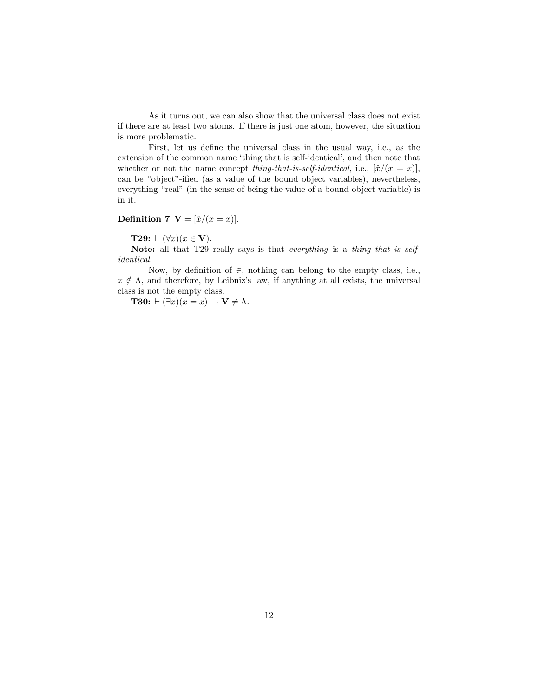As it turns out, we can also show that the universal class does not exist if there are at least two atoms. If there is just one atom, however, the situation is more problematic.

First, let us define the universal class in the usual way, i.e., as the extension of the common name 'thing that is self-identical', and then note that whether or not the name concept thing-that-is-self-identical, i.e.,  $[\hat{x}/(x=x)],$ can be "object"-ified (as a value of the bound object variables), nevertheless, everything "real" (in the sense of being the value of a bound object variable) is in it.

# Definition 7  $\mathbf{V} = [\hat{x}/(x=x)].$

**T29:**  $\vdash (\forall x)(x \in \mathbf{V}).$ 

Note: all that T29 really says is that everything is a thing that is self $identical.$ 

Now, by definition of  $\in$ , nothing can belong to the empty class, i.e.,  $x \notin \Lambda$ , and therefore, by Leibniz's law, if anything at all exists, the universal class is not the empty class.

**T30:**  $\vdash (\exists x)(x = x) \rightarrow \mathbf{V} \neq \Lambda$ .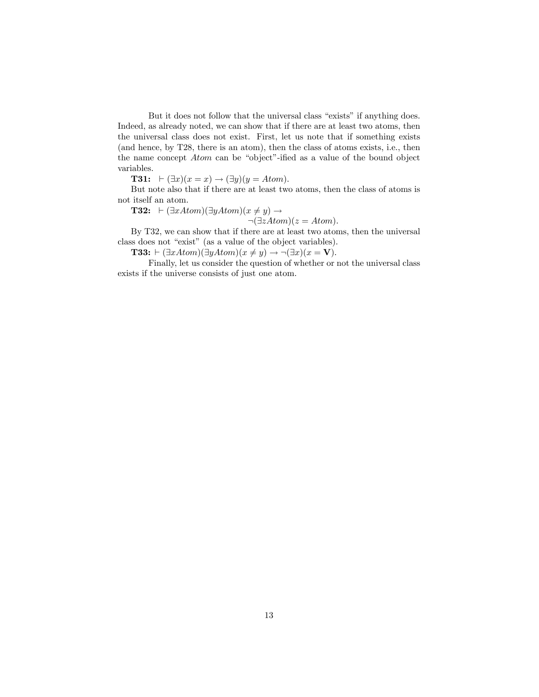But it does not follow that the universal class "exists" if anything does. Indeed, as already noted, we can show that if there are at least two atoms, then the universal class does not exist. First, let us note that if something exists (and hence, by T28, there is an atom), then the class of atoms exists, i.e., then the name concept  $Atom$  can be "object"-ified as a value of the bound object variables.

**T31:**  $\vdash (\exists x)(x = x) \rightarrow (\exists y)(y = Atom).$ 

But note also that if there are at least two atoms, then the class of atoms is not itself an atom.

**T32:**  $\vdash (\exists xAtom)(\exists yAtom)(x \neq y) \rightarrow$ 

 $\neg(\exists zAtom)(z=Atom).$ 

By T32, we can show that if there are at least two atoms, then the universal class does not "exist" (as a value of the object variables).

**T33:**  $\vdash (\exists x Atom)(\exists y Atom)(x \neq y) \rightarrow \neg(\exists x)(x = V).$ 

Finally, let us consider the question of whether or not the universal class exists if the universe consists of just one atom.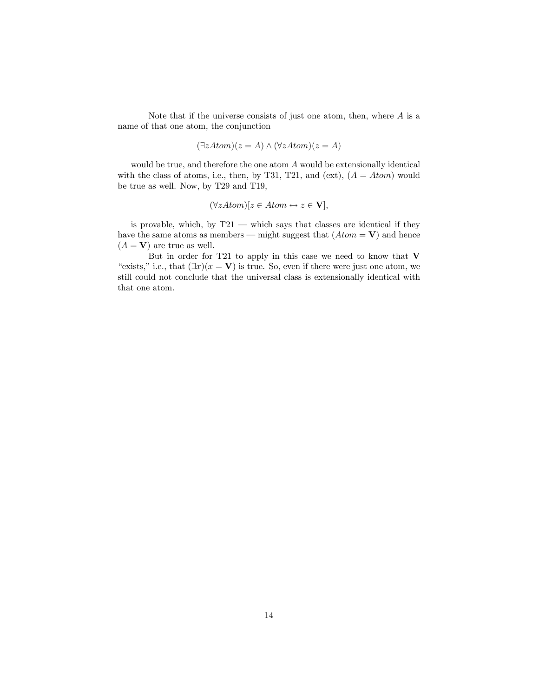Note that if the universe consists of just one atom, then, where  $A$  is a name of that one atom, the conjunction

$$
(\exists zAtom)(z = A) \land (\forall zAtom)(z = A)
$$

would be true, and therefore the one atom  $A$  would be extensionally identical with the class of atoms, i.e., then, by T31, T21, and (ext),  $(A = Atom)$  would be true as well. Now, by T29 and T19,

$$
(\forall zAtom)[z \in Atom \leftrightarrow z \in \mathbf{V}],
$$

is provable, which, by  $T21$  – which says that classes are identical if they have the same atoms as members – might suggest that  $(Atom = V)$  and hence  $(A = V)$  are true as well.

But in order for T21 to apply in this case we need to know that V "exists," i.e., that  $(\exists x)(x = V)$  is true. So, even if there were just one atom, we still could not conclude that the universal class is extensionally identical with that one atom.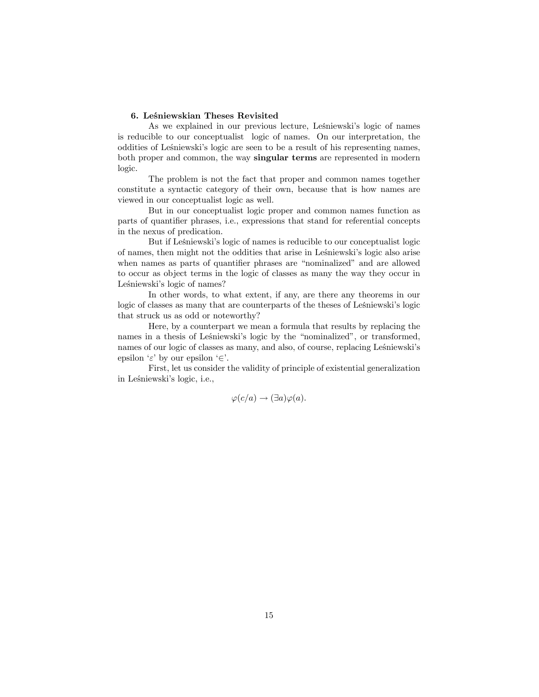### 6. Leśniewskian Theses Revisited

As we explained in our previous lecture, Leśniewski's logic of names is reducible to our conceptualist logic of names. On our interpretation, the oddities of Leśniewski's logic are seen to be a result of his representing names, both proper and common, the way singular terms are represented in modern logic.

The problem is not the fact that proper and common names together constitute a syntactic category of their own, because that is how names are viewed in our conceptualist logic as well.

But in our conceptualist logic proper and common names function as parts of quantifier phrases, i.e., expressions that stand for referential concepts in the nexus of predication.

But if Leśniewski's logic of names is reducible to our conceptualist logic of names, then might not the oddities that arise in Leśniewski's logic also arise when names as parts of quantifier phrases are "nominalized" and are allowed to occur as object terms in the logic of classes as many the way they occur in Leśniewski's logic of names?

In other words, to what extent, if any, are there any theorems in our logic of classes as many that are counterparts of the theses of Leśniewski's logic that struck us as odd or noteworthy?

Here, by a counterpart we mean a formula that results by replacing the names in a thesis of Lesniewski's logic by the "nominalized", or transformed, names of our logic of classes as many, and also, of course, replacing Leśniewski's epsilon ' $\varepsilon$ ' by our epsilon ' $\in$ '.

First, let us consider the validity of principle of existential generalization in Leśniewski's logic, i.e.,

$$
\varphi(c/a) \to (\exists a)\varphi(a).
$$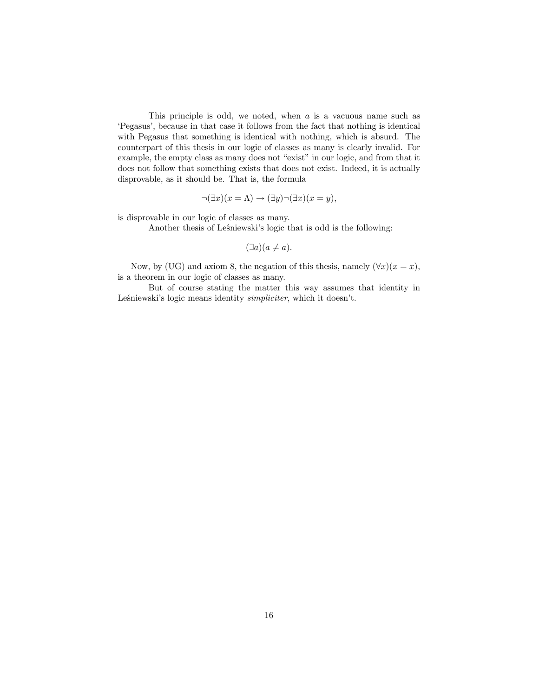This principle is odd, we noted, when  $a$  is a vacuous name such as 'Pegasus', because in that case it follows from the fact that nothing is identical with Pegasus that something is identical with nothing, which is absurd. The counterpart of this thesis in our logic of classes as many is clearly invalid. For example, the empty class as many does not "exist" in our logic, and from that it does not follow that something exists that does not exist. Indeed, it is actually disprovable, as it should be. That is, the formula

$$
\neg(\exists x)(x=\Lambda)\rightarrow(\exists y)\neg(\exists x)(x=y),
$$

is disprovable in our logic of classes as many.

Another thesis of Leśniewski's logic that is odd is the following:

$$
(\exists a)(a \neq a).
$$

Now, by (UG) and axiom 8, the negation of this thesis, namely  $(\forall x)(x = x)$ , is a theorem in our logic of classes as many.

But of course stating the matter this way assumes that identity in Leśniewski's logic means identity *simpliciter*, which it doesn't.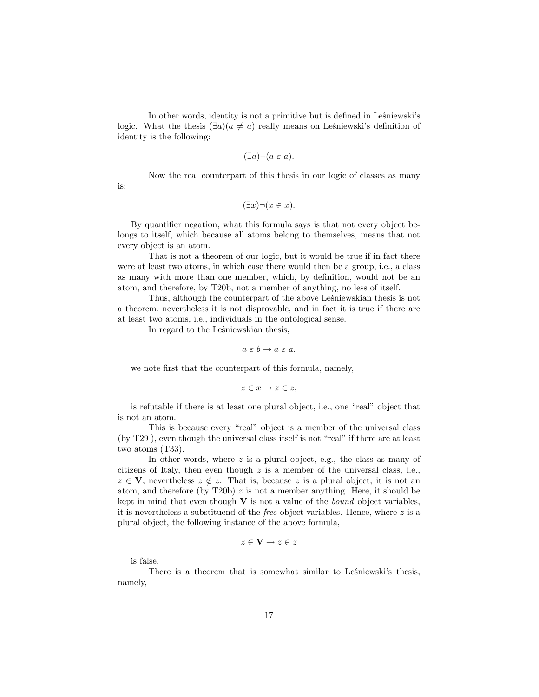In other words, identity is not a primitive but is defined in Leśniewski's logic. What the thesis  $(\exists a)(a \neq a)$  really means on Leśniewski's definition of identity is the following:

$$
(\exists a)\neg(a\ \varepsilon\ a).
$$

Now the real counterpart of this thesis in our logic of classes as many

$$
(\exists x)\neg(x\in x).
$$

By quantifier negation, what this formula says is that not every object belongs to itself, which because all atoms belong to themselves, means that not every object is an atom.

That is not a theorem of our logic, but it would be true if in fact there were at least two atoms, in which case there would then be a group, i.e., a class as many with more than one member, which, by definition, would not be an atom, and therefore, by T20b, not a member of anything, no less of itself.

Thus, although the counterpart of the above Leśniewskian thesis is not a theorem, nevertheless it is not disprovable, and in fact it is true if there are at least two atoms, i.e., individuals in the ontological sense.

In regard to the Leśniewskian thesis,

$$
a \varepsilon b \to a \varepsilon a.
$$

we note first that the counterpart of this formula, namely,

$$
z \in x \to z \in z,
$$

is refutable if there is at least one plural object, i.e., one "real" object that is not an atom.

This is because every "real" object is a member of the universal class (by  $T29$ ), even though the universal class itself is not "real" if there are at least two atoms (T33).

In other words, where  $z$  is a plural object, e.g., the class as many of citizens of Italy, then even though  $z$  is a member of the universal class, i.e.,  $z \in V$ , nevertheless  $z \notin z$ . That is, because z is a plural object, it is not an atom, and therefore (by T20b)  $z$  is not a member anything. Here, it should be kept in mind that even though  $V$  is not a value of the *bound* object variables, it is nevertheless a substituend of the *free* object variables. Hence, where  $z$  is a plural object, the following instance of the above formula,

$$
z \in \mathbf{V} \to z \in z
$$

is false.

is:

There is a theorem that is somewhat similar to Leśniewski's thesis, namely,